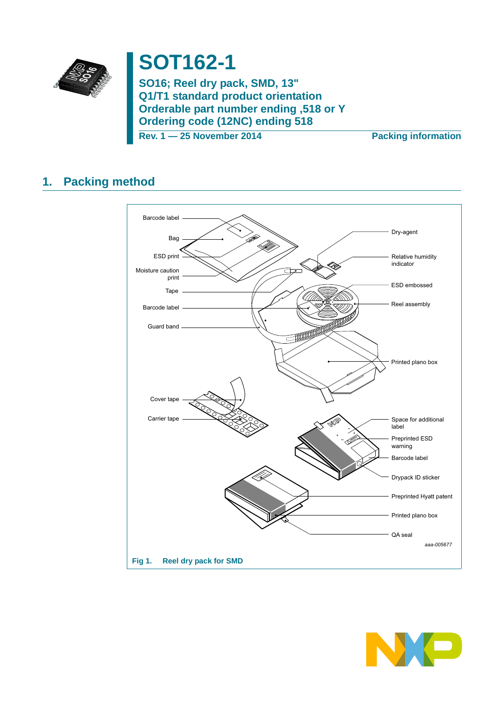

# **SOT162-1**

**SO16; Reel dry pack, SMD, 13" Q1/T1 standard product orientation Orderable part number ending ,518 or Y Ordering code (12NC) ending 518**

**Rev. 1 — 25 November 2014 Packing information**

### **1. Packing method**



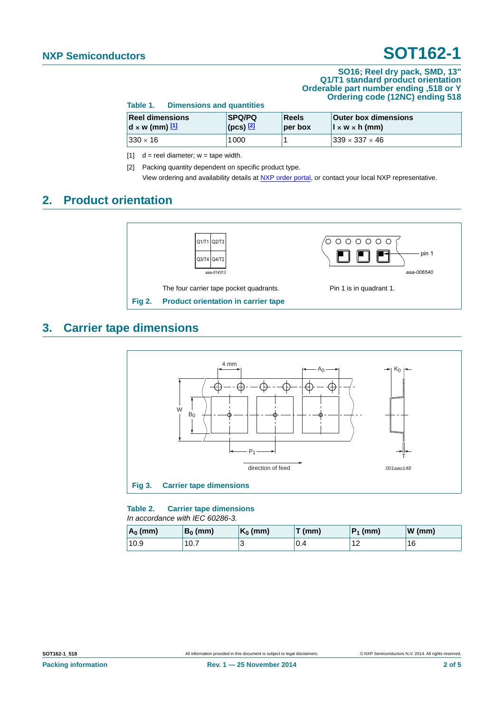#### **SO16; Reel dry pack, SMD, 13" Q1/T1 standard product orientation Orderable part number ending ,518 or Y Ordering code (12NC) ending 518**

| TADIE T.<br><b>DIMENSIONS AND QUANTILES</b><br><b>SPQ/PQ</b><br><b>Reel dimensions</b><br>Reels<br><b>Outer box dimensions</b> |                             |         |                                        |  |
|--------------------------------------------------------------------------------------------------------------------------------|-----------------------------|---------|----------------------------------------|--|
| $d \times w$ (mm) $1$                                                                                                          | $ $ (pcs) $\frac{[2]}{[2]}$ | per box | $\vert x \vert \times w \times h$ (mm) |  |
| $ 330 \times 16 $                                                                                                              | 1000                        |         | $339 \times 337 \times 46$             |  |

<span id="page-1-0"></span>[1]  $d =$  reel diameter;  $w =$  tape width.

**Table 1. Dimensions and quantities**

<span id="page-1-1"></span>[2] Packing quantity dependent on specific product type. View ordering and availability details at [NXP order portal](http://www.nxp.com/order-portal/), or contact your local NXP representative.

### **2. Product orientation**



### **3. Carrier tape dimensions**



### **Table 2. Carrier tape dimensions** *In accordance with IEC 60286-3.*

| $A_0$ (mm) | $B_0$ (mm) | $K_0$ (mm) | $T$ (mm) | $P_1$ (mm) | W(mm) |
|------------|------------|------------|----------|------------|-------|
| 10.9       | 10.7       |            | 0.4      | 12         | 16    |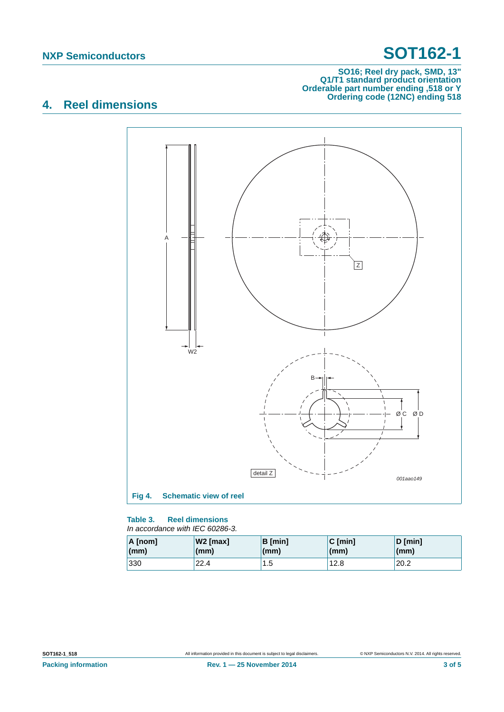### **SO16; Reel dry pack, SMD, 13" Q1/T1 standard product orientation Orderable part number ending ,518 or Y Ordering code (12NC) ending 518**

## **4. Reel dimensions**



#### **Table 3. Reel dimensions** *In accordance with IEC 60286-3.*

| A [nom] | $W2$ [max]   | B [min] | $C$ [min] | $D$ [min]    |
|---------|--------------|---------|-----------|--------------|
| (mm)    | $\mathsf{m}$ | (mm)    | (mm)      | $\mathsf{m}$ |
| 330     | 22.4         | 1.5     | 12.8      | 20.2         |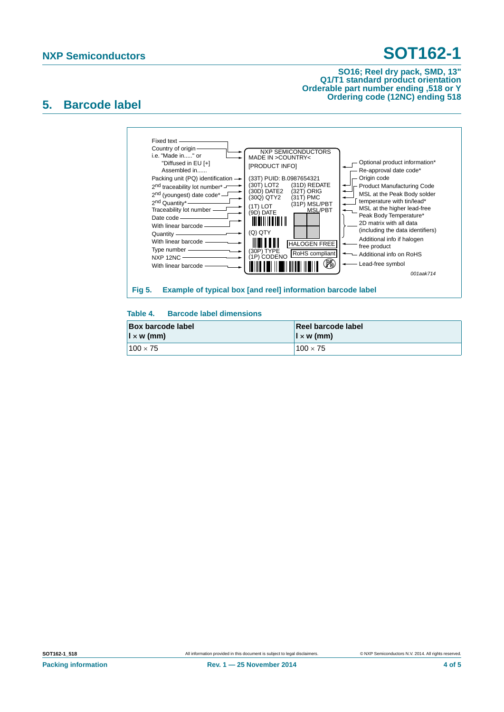#### **SO16; Reel dry pack, SMD, 13" Q1/T1 standard product orientation Orderable part number ending ,518 or Y Ordering code (12NC) ending 518**

### **5. Barcode label**



### **Table 4. Barcode label dimensions**

| <b>Box barcode label</b> | Reel barcode label       |
|--------------------------|--------------------------|
| $\vert x \rangle$ (mm)   | $\vert x \rangle$ w (mm) |
| $100 \times 75$          | $100 \times 75$          |